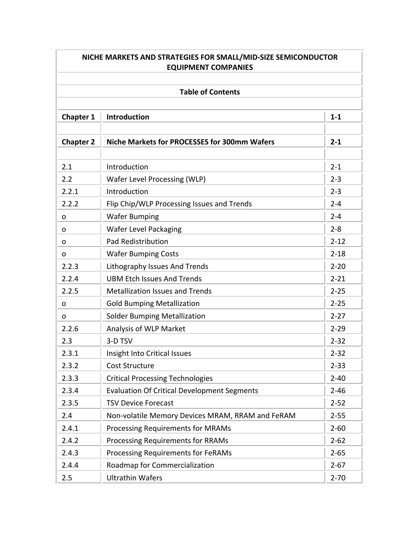| NICHE MARKETS AND STRATEGIES FOR SMALL/MID-SIZE SEMICONDUCTOR<br><b>EQUIPMENT COMPANIES</b><br><b>Table of Contents</b> |                                                     |          |  |
|-------------------------------------------------------------------------------------------------------------------------|-----------------------------------------------------|----------|--|
|                                                                                                                         |                                                     |          |  |
| <b>Chapter 2</b>                                                                                                        | <b>Niche Markets for PROCESSES for 300mm Wafers</b> | $2 - 1$  |  |
| 2.1                                                                                                                     | Introduction                                        | $2 - 1$  |  |
| 2.2                                                                                                                     | Wafer Level Processing (WLP)                        | $2 - 3$  |  |
| 2.2.1                                                                                                                   | Introduction                                        | $2 - 3$  |  |
| 2.2.2                                                                                                                   | Flip Chip/WLP Processing Issues and Trends          | $2 - 4$  |  |
| O                                                                                                                       | <b>Wafer Bumping</b>                                | $2 - 4$  |  |
| 0                                                                                                                       | <b>Wafer Level Packaging</b>                        | $2 - 8$  |  |
| O                                                                                                                       | <b>Pad Redistribution</b>                           | $2 - 12$ |  |
| O                                                                                                                       | <b>Wafer Bumping Costs</b>                          | $2 - 18$ |  |
| 2.2.3                                                                                                                   | Lithography Issues And Trends                       | $2 - 20$ |  |
| 2.2.4                                                                                                                   | <b>UBM Etch Issues And Trends</b>                   | $2 - 21$ |  |
| 2.2.5                                                                                                                   | <b>Metallization Issues and Trends</b>              | $2 - 25$ |  |
| 0                                                                                                                       | <b>Gold Bumping Metallization</b>                   | $2 - 25$ |  |
| 0                                                                                                                       | <b>Solder Bumping Metallization</b>                 | $2 - 27$ |  |
| 2.2.6                                                                                                                   | Analysis of WLP Market                              | $2 - 29$ |  |
| 2.3                                                                                                                     | 3-D TSV                                             | $2 - 32$ |  |
| 2.3.1                                                                                                                   | Insight Into Critical Issues                        | $2 - 32$ |  |
| 2.3.2                                                                                                                   | <b>Cost Structure</b>                               | $2 - 33$ |  |
| 2.3.3                                                                                                                   | <b>Critical Processing Technologies</b>             | $2 - 40$ |  |
| 2.3.4                                                                                                                   | <b>Evaluation Of Critical Development Segments</b>  | $2 - 46$ |  |
| 2.3.5                                                                                                                   | <b>TSV Device Forecast</b>                          | $2 - 52$ |  |
| 2.4                                                                                                                     | Non-volatile Memory Devices MRAM, RRAM and FeRAM    | $2 - 55$ |  |
| 2.4.1                                                                                                                   | <b>Processing Requirements for MRAMs</b>            | $2 - 60$ |  |
| 2.4.2                                                                                                                   | <b>Processing Requirements for RRAMs</b>            | $2 - 62$ |  |
| 2.4.3                                                                                                                   | Processing Requirements for FeRAMs                  | $2 - 65$ |  |
| 2.4.4                                                                                                                   | Roadmap for Commercialization                       | $2 - 67$ |  |
| 2.5                                                                                                                     | <b>Ultrathin Wafers</b>                             | $2 - 70$ |  |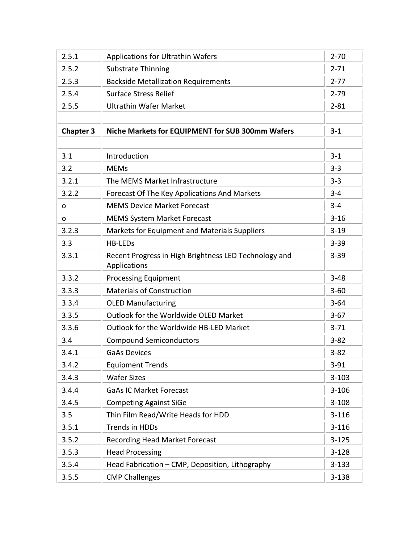| 2.5.1            | <b>Applications for Ultrathin Wafers</b>                              | $2 - 70$  |
|------------------|-----------------------------------------------------------------------|-----------|
| 2.5.2            | <b>Substrate Thinning</b>                                             | $2 - 71$  |
| 2.5.3            | <b>Backside Metallization Requirements</b>                            | $2 - 77$  |
| 2.5.4            | <b>Surface Stress Relief</b>                                          | $2 - 79$  |
| 2.5.5            | <b>Ultrathin Wafer Market</b>                                         | $2 - 81$  |
|                  |                                                                       |           |
| <b>Chapter 3</b> | Niche Markets for EQUIPMENT for SUB 300mm Wafers                      | $3 - 1$   |
|                  |                                                                       |           |
| 3.1              | Introduction                                                          | $3 - 1$   |
| 3.2              | <b>MEMs</b>                                                           | $3 - 3$   |
| 3.2.1            | The MEMS Market Infrastructure                                        | $3 - 3$   |
| 3.2.2            | Forecast Of The Key Applications And Markets                          | $3 - 4$   |
| O                | <b>MEMS Device Market Forecast</b>                                    | $3 - 4$   |
| O                | <b>MEMS System Market Forecast</b>                                    | $3 - 16$  |
| 3.2.3            | Markets for Equipment and Materials Suppliers                         | $3 - 19$  |
| 3.3              | <b>HB-LEDs</b>                                                        | $3 - 39$  |
| 3.3.1            | Recent Progress in High Brightness LED Technology and<br>Applications | $3 - 39$  |
| 3.3.2            | <b>Processing Equipment</b>                                           | $3 - 48$  |
| 3.3.3            | <b>Materials of Construction</b>                                      | $3 - 60$  |
| 3.3.4            | <b>OLED Manufacturing</b>                                             | $3 - 64$  |
| 3.3.5            | Outlook for the Worldwide OLED Market                                 | $3-67$    |
| 3.3.6            | Outlook for the Worldwide HB-LED Market                               | $3 - 71$  |
| 3.4              | <b>Compound Semiconductors</b>                                        | $3 - 82$  |
| 3.4.1            | <b>GaAs Devices</b>                                                   | $3 - 82$  |
| 3.4.2            | <b>Equipment Trends</b>                                               | $3 - 91$  |
| 3.4.3            | <b>Wafer Sizes</b>                                                    | $3 - 103$ |
| 3.4.4            | <b>GaAs IC Market Forecast</b>                                        | $3 - 106$ |
| 3.4.5            | <b>Competing Against SiGe</b>                                         | $3 - 108$ |
| 3.5              | Thin Film Read/Write Heads for HDD                                    | $3 - 116$ |
| 3.5.1            | <b>Trends in HDDs</b>                                                 | $3 - 116$ |
| 3.5.2            | <b>Recording Head Market Forecast</b>                                 | $3 - 125$ |
| 3.5.3            | <b>Head Processing</b>                                                | $3 - 128$ |
| 3.5.4            | Head Fabrication - CMP, Deposition, Lithography                       | $3 - 133$ |
| 3.5.5            | <b>CMP Challenges</b>                                                 | $3 - 138$ |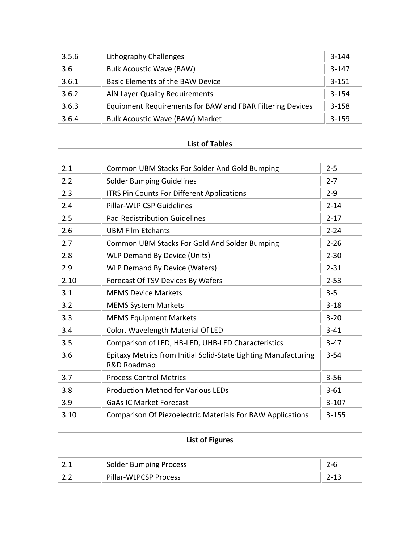| 3.5.6 |                                                                                | $3 - 144$              |  |
|-------|--------------------------------------------------------------------------------|------------------------|--|
|       | Lithography Challenges<br>$3-147$                                              |                        |  |
| 3.6   | <b>Bulk Acoustic Wave (BAW)</b>                                                |                        |  |
| 3.6.1 | <b>Basic Elements of the BAW Device</b>                                        | $3 - 151$<br>$3 - 154$ |  |
| 3.6.2 | <b>AIN Layer Quality Requirements</b>                                          |                        |  |
| 3.6.3 | Equipment Requirements for BAW and FBAR Filtering Devices                      | $3 - 158$              |  |
| 3.6.4 | <b>Bulk Acoustic Wave (BAW) Market</b>                                         | $3 - 159$              |  |
|       |                                                                                |                        |  |
|       | <b>List of Tables</b>                                                          |                        |  |
|       |                                                                                |                        |  |
| 2.1   | Common UBM Stacks For Solder And Gold Bumping                                  | $2 - 5$                |  |
| 2.2   | <b>Solder Bumping Guidelines</b>                                               | $2 - 7$                |  |
| 2.3   | <b>ITRS Pin Counts For Different Applications</b>                              | $2 - 9$                |  |
| 2.4   | Pillar-WLP CSP Guidelines                                                      | $2 - 14$               |  |
| 2.5   | <b>Pad Redistribution Guidelines</b>                                           | $2 - 17$               |  |
| 2.6   | <b>UBM Film Etchants</b>                                                       | $2 - 24$               |  |
| 2.7   | Common UBM Stacks For Gold And Solder Bumping                                  | $2 - 26$               |  |
| 2.8   | <b>WLP Demand By Device (Units)</b>                                            | $2 - 30$               |  |
| 2.9   | <b>WLP Demand By Device (Wafers)</b>                                           | $2 - 31$               |  |
| 2.10  | Forecast Of TSV Devices By Wafers                                              | $2 - 53$               |  |
| 3.1   | <b>MEMS Device Markets</b>                                                     | $3 - 5$                |  |
| 3.2   | <b>MEMS System Markets</b>                                                     | $3 - 18$               |  |
| 3.3   | <b>MEMS Equipment Markets</b>                                                  | $3 - 20$               |  |
| 3.4   | Color, Wavelength Material Of LED                                              |                        |  |
| 3.5   | Comparison of LED, HB-LED, UHB-LED Characteristics                             | $3-47$                 |  |
| 3.6   | Epitaxy Metrics from Initial Solid-State Lighting Manufacturing<br>R&D Roadmap | $3 - 54$               |  |
| 3.7   | <b>Process Control Metrics</b>                                                 | $3 - 56$               |  |
| 3.8   | <b>Production Method for Various LEDs</b>                                      | $3 - 61$               |  |
| 3.9   | <b>GaAs IC Market Forecast</b>                                                 | $3 - 107$              |  |
| 3.10  | <b>Comparison Of Piezoelectric Materials For BAW Applications</b>              | $3 - 155$              |  |
|       |                                                                                |                        |  |
|       | <b>List of Figures</b>                                                         |                        |  |
|       |                                                                                |                        |  |
| 2.1   | <b>Solder Bumping Process</b>                                                  | $2 - 6$                |  |
| 2.2   | Pillar-WLPCSP Process                                                          | $2 - 13$               |  |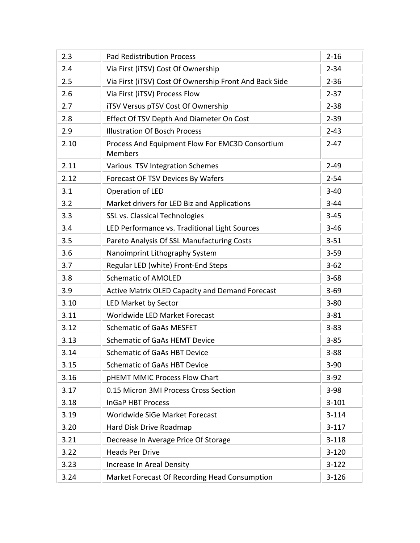| 2.3  | <b>Pad Redistribution Process</b>                                 | $2 - 16$  |
|------|-------------------------------------------------------------------|-----------|
| 2.4  | Via First (iTSV) Cost Of Ownership                                | $2 - 34$  |
| 2.5  | Via First (iTSV) Cost Of Ownership Front And Back Side            | $2 - 36$  |
| 2.6  | Via First (iTSV) Process Flow                                     | $2 - 37$  |
| 2.7  | iTSV Versus pTSV Cost Of Ownership                                | $2 - 38$  |
| 2.8  | Effect Of TSV Depth And Diameter On Cost                          | $2 - 39$  |
| 2.9  | <b>Illustration Of Bosch Process</b>                              | $2 - 43$  |
| 2.10 | Process And Equipment Flow For EMC3D Consortium<br><b>Members</b> | $2 - 47$  |
| 2.11 | Various TSV Integration Schemes                                   | $2 - 49$  |
| 2.12 | Forecast OF TSV Devices By Wafers                                 | $2 - 54$  |
| 3.1  | Operation of LED                                                  | $3 - 40$  |
| 3.2  | Market drivers for LED Biz and Applications                       | $3 - 44$  |
| 3.3  | <b>SSL vs. Classical Technologies</b>                             | $3 - 45$  |
| 3.4  | LED Performance vs. Traditional Light Sources                     | $3 - 46$  |
| 3.5  | Pareto Analysis Of SSL Manufacturing Costs                        | $3 - 51$  |
| 3.6  | Nanoimprint Lithography System                                    | $3 - 59$  |
| 3.7  | Regular LED (white) Front-End Steps                               | $3 - 62$  |
| 3.8  | <b>Schematic of AMOLED</b>                                        | $3 - 68$  |
| 3.9  | Active Matrix OLED Capacity and Demand Forecast                   | $3 - 69$  |
| 3.10 | LED Market by Sector                                              | $3 - 80$  |
| 3.11 | Worldwide LED Market Forecast                                     | $3 - 81$  |
| 3.12 | <b>Schematic of GaAs MESFET</b>                                   | $3 - 83$  |
| 3.13 | <b>Schematic of GaAs HEMT Device</b>                              | $3 - 85$  |
| 3.14 | <b>Schematic of GaAs HBT Device</b>                               | $3 - 88$  |
| 3.15 | <b>Schematic of GaAs HBT Device</b>                               | $3 - 90$  |
| 3.16 | pHEMT MMIC Process Flow Chart                                     | $3-92$    |
| 3.17 | 0.15 Micron 3MI Process Cross Section                             | $3 - 98$  |
| 3.18 | <b>InGaP HBT Process</b>                                          | $3 - 101$ |
| 3.19 | Worldwide SiGe Market Forecast                                    | $3 - 114$ |
| 3.20 | Hard Disk Drive Roadmap                                           | $3-117$   |
| 3.21 | Decrease In Average Price Of Storage                              | $3 - 118$ |
| 3.22 | <b>Heads Per Drive</b>                                            | $3 - 120$ |
| 3.23 | Increase In Areal Density                                         | $3 - 122$ |
| 3.24 | Market Forecast Of Recording Head Consumption                     | $3 - 126$ |